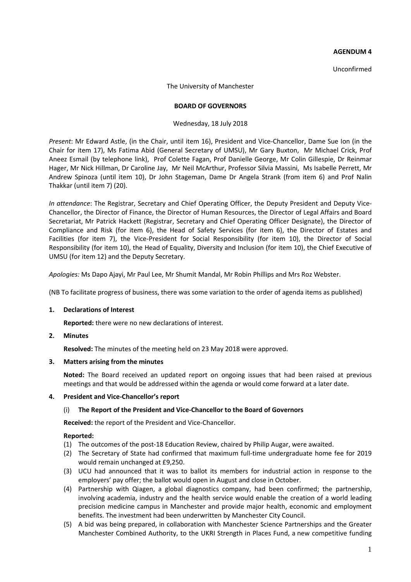## **AGENDUM 4**

Unconfirmed

The University of Manchester

### **BOARD OF GOVERNORS**

## Wednesday, 18 July 2018

*Present*: Mr Edward Astle, (in the Chair, until item 16), President and Vice-Chancellor, Dame Sue Ion (in the Chair for item 17), Ms Fatima Abid (General Secretary of UMSU), Mr Gary Buxton, Mr Michael Crick, Prof Aneez Esmail (by telephone link), Prof Colette Fagan, Prof Danielle George, Mr Colin Gillespie, Dr Reinmar Hager, Mr Nick Hillman, Dr Caroline Jay, Mr Neil McArthur, Professor Silvia Massini, Ms Isabelle Perrett, Mr Andrew Spinoza (until item 10), Dr John Stageman, Dame Dr Angela Strank (from item 6) and Prof Nalin Thakkar (until item 7) (20).

*In attendance*: The Registrar, Secretary and Chief Operating Officer, the Deputy President and Deputy Vice-Chancellor, the Director of Finance, the Director of Human Resources, the Director of Legal Affairs and Board Secretariat, Mr Patrick Hackett (Registrar, Secretary and Chief Operating Officer Designate), the Director of Compliance and Risk (for item 6), the Head of Safety Services (for item 6), the Director of Estates and Facilities (for item 7), the Vice-President for Social Responsibility (for item 10), the Director of Social Responsibility (for item 10), the Head of Equality, Diversity and Inclusion (for item 10), the Chief Executive of UMSU (for item 12) and the Deputy Secretary.

*Apologies:* Ms Dapo Ajayi, Mr Paul Lee, Mr Shumit Mandal, Mr Robin Phillips and Mrs Roz Webster.

(NB To facilitate progress of business, there was some variation to the order of agenda items as published)

# **1. Declarations of Interest**

**Reported:** there were no new declarations of interest.

# **2. Minutes**

**Resolved:** The minutes of the meeting held on 23 May 2018 were approved.

#### **3. Matters arising from the minutes**

**Noted:** The Board received an updated report on ongoing issues that had been raised at previous meetings and that would be addressed within the agenda or would come forward at a later date.

# **4. President and Vice-Chancellor's report**

# (i) **The Report of the President and Vice-Chancellor to the Board of Governors**

**Received:** the report of the President and Vice-Chancellor.

# **Reported:**

- (1) The outcomes of the post-18 Education Review, chaired by Philip Augar, were awaited.
- (2) The Secretary of State had confirmed that maximum full-time undergraduate home fee for 2019 would remain unchanged at £9,250.
- (3) UCU had announced that it was to ballot its members for industrial action in response to the employers' pay offer; the ballot would open in August and close in October.
- (4) Partnership with Qiagen, a global diagnostics company, had been confirmed; the partnership, involving academia, industry and the health service would enable the creation of a world leading precision medicine campus in Manchester and provide major health, economic and employment benefits. The investment had been underwritten by Manchester City Council.
- (5) A bid was being prepared, in collaboration with Manchester Science Partnerships and the Greater Manchester Combined Authority, to the UKRI Strength in Places Fund, a new competitive funding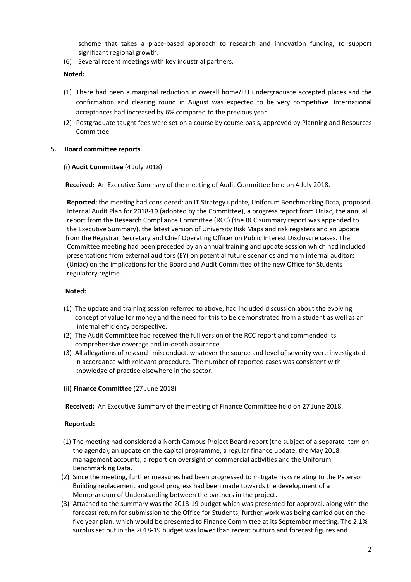scheme that takes a place-based approach to research and innovation funding, to support significant regional growth.

(6) Several recent meetings with key industrial partners.

# **Noted:**

- (1) There had been a marginal reduction in overall home/EU undergraduate accepted places and the confirmation and clearing round in August was expected to be very competitive. International acceptances had increased by 6% compared to the previous year.
- (2) Postgraduate taught fees were set on a course by course basis, approved by Planning and Resources Committee.

# **5. Board committee reports**

# **(i) Audit Committee** (4 July 2018)

 **Received:** An Executive Summary of the meeting of Audit Committee held on 4 July 2018.

 **Reported:** the meeting had considered: an IT Strategy update, Uniforum Benchmarking Data, proposed Internal Audit Plan for 2018-19 (adopted by the Committee), a progress report from Uniac, the annual report from the Research Compliance Committee (RCC) (the RCC summary report was appended to the Executive Summary), the latest version of University Risk Maps and risk registers and an update from the Registrar, Secretary and Chief Operating Officer on Public Interest Disclosure cases. The Committee meeting had been preceded by an annual training and update session which had included presentations from external auditors (EY) on potential future scenarios and from internal auditors (Uniac) on the implications for the Board and Audit Committee of the new Office for Students regulatory regime.

# **Noted:**

- (1) The update and training session referred to above, had included discussion about the evolving concept of value for money and the need for this to be demonstrated from a student as well as an internal efficiency perspective.
- (2) The Audit Committee had received the full version of the RCC report and commended its comprehensive coverage and in-depth assurance.
- (3) All allegations of research misconduct, whatever the source and level of severity were investigated in accordance with relevant procedure. The number of reported cases was consistent with knowledge of practice elsewhere in the sector.
- **(ii) Finance Committee** (27 June 2018)

 **Received:** An Executive Summary of the meeting of Finance Committee held on 27 June 2018.

# **Reported:**

- (1) The meeting had considered a North Campus Project Board report (the subject of a separate item on the agenda), an update on the capital programme, a regular finance update, the May 2018 management accounts, a report on oversight of commercial activities and the Uniforum Benchmarking Data.
- (2) Since the meeting, further measures had been progressed to mitigate risks relating to the Paterson Building replacement and good progress had been made towards the development of a Memorandum of Understanding between the partners in the project.
- (3) Attached to the summary was the 2018-19 budget which was presented for approval, along with the forecast return for submission to the Office for Students; further work was being carried out on the five year plan, which would be presented to Finance Committee at its September meeting. The 2.1% surplus set out in the 2018-19 budget was lower than recent outturn and forecast figures and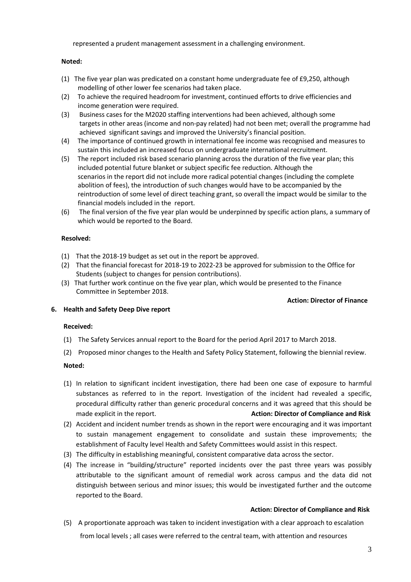represented a prudent management assessment in a challenging environment.

## **Noted:**

- (1) The five year plan was predicated on a constant home undergraduate fee of £9,250, although modelling of other lower fee scenarios had taken place.
- (2) To achieve the required headroom for investment, continued efforts to drive efficiencies and income generation were required.
- (3) Business cases for the M2020 staffing interventions had been achieved, although some targets in other areas (income and non-pay related) had not been met; overall the programme had achieved significant savings and improved the University's financial position.
- (4) The importance of continued growth in international fee income was recognised and measures to sustain this included an increased focus on undergraduate international recruitment.
- (5) The report included risk based scenario planning across the duration of the five year plan; this included potential future blanket or subject specific fee reduction. Although the scenarios in the report did not include more radical potential changes (including the complete abolition of fees), the introduction of such changes would have to be accompanied by the reintroduction of some level of direct teaching grant, so overall the impact would be similar to the financial models included in the report.
- (6) The final version of the five year plan would be underpinned by specific action plans, a summary of which would be reported to the Board.

# **Resolved:**

- (1) That the 2018-19 budget as set out in the report be approved.
- (2) That the financial forecast for 2018-19 to 2022-23 be approved for submission to the Office for Students (subject to changes for pension contributions).
- (3) That further work continue on the five year plan, which would be presented to the Finance Committee in September 2018.

#### **Action: Director of Finance**

# **6. Health and Safety Deep Dive report**

# **Received:**

- (1) The Safety Services annual report to the Board for the period April 2017 to March 2018.
- (2) Proposed minor changes to the Health and Safety Policy Statement, following the biennial review.

# **Noted:**

- (1) In relation to significant incident investigation, there had been one case of exposure to harmful substances as referred to in the report. Investigation of the incident had revealed a specific, procedural difficulty rather than generic procedural concerns and it was agreed that this should be made explicit in the report. **Action: Director of Compliance and Risk**
- (2) Accident and incident number trends as shown in the report were encouraging and it was important to sustain management engagement to consolidate and sustain these improvements; the establishment of Faculty level Health and Safety Committees would assist in this respect.
- (3) The difficulty in establishing meaningful, consistent comparative data across the sector.
- (4) The increase in "building/structure" reported incidents over the past three years was possibly attributable to the significant amount of remedial work across campus and the data did not distinguish between serious and minor issues; this would be investigated further and the outcome reported to the Board.

# **Action: Director of Compliance and Risk**

(5) A proportionate approach was taken to incident investigation with a clear approach to escalation from local levels ; all cases were referred to the central team, with attention and resources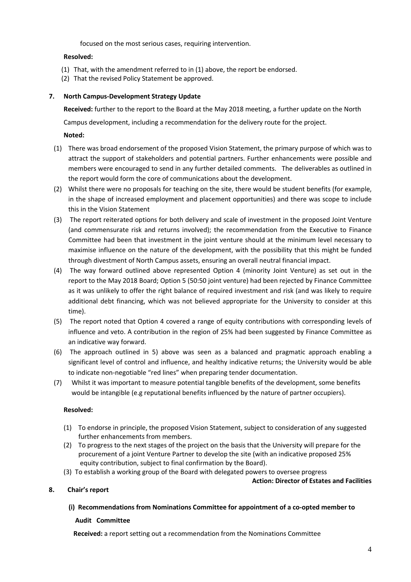focused on the most serious cases, requiring intervention.

# **Resolved:**

- (1) That, with the amendment referred to in (1) above, the report be endorsed.
- (2) That the revised Policy Statement be approved.

# **7. North Campus-Development Strategy Update**

**Received:** further to the report to the Board at the May 2018 meeting, a further update on the North Campus development, including a recommendation for the delivery route for the project.

# **Noted:**

- (1) There was broad endorsement of the proposed Vision Statement, the primary purpose of which was to attract the support of stakeholders and potential partners. Further enhancements were possible and members were encouraged to send in any further detailed comments. The deliverables as outlined in the report would form the core of communications about the development.
- (2) Whilst there were no proposals for teaching on the site, there would be student benefits (for example, in the shape of increased employment and placement opportunities) and there was scope to include this in the Vision Statement
- (3) The report reiterated options for both delivery and scale of investment in the proposed Joint Venture (and commensurate risk and returns involved); the recommendation from the Executive to Finance Committee had been that investment in the joint venture should at the minimum level necessary to maximise influence on the nature of the development, with the possibility that this might be funded through divestment of North Campus assets, ensuring an overall neutral financial impact.
- (4) The way forward outlined above represented Option 4 (minority Joint Venture) as set out in the report to the May 2018 Board; Option 5 (50:50 joint venture) had been rejected by Finance Committee as it was unlikely to offer the right balance of required investment and risk (and was likely to require additional debt financing, which was not believed appropriate for the University to consider at this time).
- (5) The report noted that Option 4 covered a range of equity contributions with corresponding levels of influence and veto. A contribution in the region of 25% had been suggested by Finance Committee as an indicative way forward.
- (6) The approach outlined in 5) above was seen as a balanced and pragmatic approach enabling a significant level of control and influence, and healthy indicative returns; the University would be able to indicate non-negotiable "red lines" when preparing tender documentation.
- (7) Whilst it was important to measure potential tangible benefits of the development, some benefits would be intangible (e.g reputational benefits influenced by the nature of partner occupiers).

# **Resolved:**

- (1) To endorse in principle, the proposed Vision Statement, subject to consideration of any suggested further enhancements from members.
- (2) To progress to the next stages of the project on the basis that the University will prepare for the procurement of a joint Venture Partner to develop the site (with an indicative proposed 25% equity contribution, subject to final confirmation by the Board).
- (3) To establish a working group of the Board with delegated powers to oversee progress

**Action: Director of Estates and Facilities** 

# **8. Chair's report**

# **(i) Recommendations from Nominations Committee for appointment of a co-opted member to**

# **Audit Committee**

 **Received:** a report setting out a recommendation from the Nominations Committee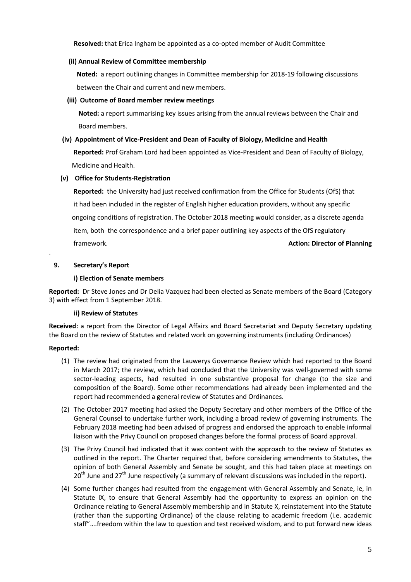**Resolved:** that Erica Ingham be appointed as a co-opted member of Audit Committee

## **(ii) Annual Review of Committee membership**

 **Noted:** a report outlining changes in Committee membership for 2018-19 following discussions between the Chair and current and new members.

## **(iii) Outcome of Board member review meetings**

 **Noted:** a report summarising key issues arising from the annual reviews between the Chair and Board members.

## **(iv) Appointment of Vice-President and Dean of Faculty of Biology, Medicine and Health**

 **Reported:** Prof Graham Lord had been appointed as Vice-President and Dean of Faculty of Biology, Medicine and Health.

# **(v) Office for Students-Registration**

 **Reported:** the University had just received confirmation from the Office for Students (OfS) that it had been included in the register of English higher education providers, without any specific ongoing conditions of registration. The October 2018 meeting would consider, as a discrete agenda item, both the correspondence and a brief paper outlining key aspects of the OfS regulatory framework. **Action: Director of Planning**

# **9. Secretary's Report**

## **i) Election of Senate members**

**Reported:** Dr Steve Jones and Dr Delia Vazquez had been elected as Senate members of the Board (Category 3) with effect from 1 September 2018.

#### **ii) Review of Statutes**

**Received:** a report from the Director of Legal Affairs and Board Secretariat and Deputy Secretary updating the Board on the review of Statutes and related work on governing instruments (including Ordinances)

# **Reported:**

.

- (1) The review had originated from the Lauwerys Governance Review which had reported to the Board in March 2017; the review, which had concluded that the University was well-governed with some sector-leading aspects, had resulted in one substantive proposal for change (to the size and composition of the Board). Some other recommendations had already been implemented and the report had recommended a general review of Statutes and Ordinances.
- (2) The October 2017 meeting had asked the Deputy Secretary and other members of the Office of the General Counsel to undertake further work, including a broad review of governing instruments. The February 2018 meeting had been advised of progress and endorsed the approach to enable informal liaison with the Privy Council on proposed changes before the formal process of Board approval.
- (3) The Privy Council had indicated that it was content with the approach to the review of Statutes as outlined in the report. The Charter required that, before considering amendments to Statutes, the opinion of both General Assembly and Senate be sought, and this had taken place at meetings on  $20^{th}$  June and  $27^{th}$  June respectively (a summary of relevant discussions was included in the report).
- (4) Some further changes had resulted from the engagement with General Assembly and Senate, ie, in Statute IX, to ensure that General Assembly had the opportunity to express an opinion on the Ordinance relating to General Assembly membership and in Statute X, reinstatement into the Statute (rather than the supporting Ordinance) of the clause relating to academic freedom (i.e. academic staff"….freedom within the law to question and test received wisdom, and to put forward new ideas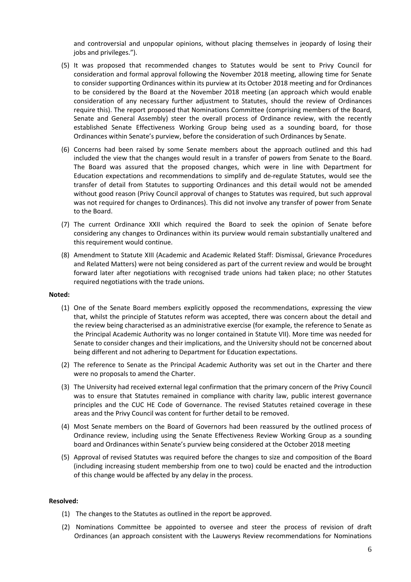and controversial and unpopular opinions, without placing themselves in jeopardy of losing their jobs and privileges.").

- (5) It was proposed that recommended changes to Statutes would be sent to Privy Council for consideration and formal approval following the November 2018 meeting, allowing time for Senate to consider supporting Ordinances within its purview at its October 2018 meeting and for Ordinances to be considered by the Board at the November 2018 meeting (an approach which would enable consideration of any necessary further adjustment to Statutes, should the review of Ordinances require this). The report proposed that Nominations Committee (comprising members of the Board, Senate and General Assembly) steer the overall process of Ordinance review, with the recently established Senate Effectiveness Working Group being used as a sounding board, for those Ordinances within Senate's purview, before the consideration of such Ordinances by Senate.
- (6) Concerns had been raised by some Senate members about the approach outlined and this had included the view that the changes would result in a transfer of powers from Senate to the Board. The Board was assured that the proposed changes, which were in line with Department for Education expectations and recommendations to simplify and de-regulate Statutes, would see the transfer of detail from Statutes to supporting Ordinances and this detail would not be amended without good reason (Privy Council approval of changes to Statutes was required, but such approval was not required for changes to Ordinances). This did not involve any transfer of power from Senate to the Board.
- (7) The current Ordinance XXII which required the Board to seek the opinion of Senate before considering any changes to Ordinances within its purview would remain substantially unaltered and this requirement would continue.
- (8) Amendment to Statute XIII (Academic and Academic Related Staff: Dismissal, Grievance Procedures and Related Matters) were not being considered as part of the current review and would be brought forward later after negotiations with recognised trade unions had taken place; no other Statutes required negotiations with the trade unions.

#### **Noted:**

- (1) One of the Senate Board members explicitly opposed the recommendations, expressing the view that, whilst the principle of Statutes reform was accepted, there was concern about the detail and the review being characterised as an administrative exercise (for example, the reference to Senate as the Principal Academic Authority was no longer contained in Statute VII). More time was needed for Senate to consider changes and their implications, and the University should not be concerned about being different and not adhering to Department for Education expectations.
- (2) The reference to Senate as the Principal Academic Authority was set out in the Charter and there were no proposals to amend the Charter.
- (3) The University had received external legal confirmation that the primary concern of the Privy Council was to ensure that Statutes remained in compliance with charity law, public interest governance principles and the CUC HE Code of Governance. The revised Statutes retained coverage in these areas and the Privy Council was content for further detail to be removed.
- (4) Most Senate members on the Board of Governors had been reassured by the outlined process of Ordinance review, including using the Senate Effectiveness Review Working Group as a sounding board and Ordinances within Senate's purview being considered at the October 2018 meeting
- (5) Approval of revised Statutes was required before the changes to size and composition of the Board (including increasing student membership from one to two) could be enacted and the introduction of this change would be affected by any delay in the process.

#### **Resolved:**

- (1) The changes to the Statutes as outlined in the report be approved.
- (2) Nominations Committee be appointed to oversee and steer the process of revision of draft Ordinances (an approach consistent with the Lauwerys Review recommendations for Nominations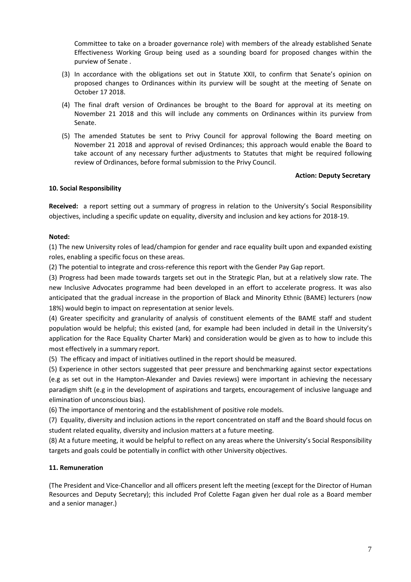Committee to take on a broader governance role) with members of the already established Senate Effectiveness Working Group being used as a sounding board for proposed changes within the purview of Senate .

- (3) In accordance with the obligations set out in Statute XXII, to confirm that Senate's opinion on proposed changes to Ordinances within its purview will be sought at the meeting of Senate on October 17 2018.
- (4) The final draft version of Ordinances be brought to the Board for approval at its meeting on November 21 2018 and this will include any comments on Ordinances within its purview from Senate.
- (5) The amended Statutes be sent to Privy Council for approval following the Board meeting on November 21 2018 and approval of revised Ordinances; this approach would enable the Board to take account of any necessary further adjustments to Statutes that might be required following review of Ordinances, before formal submission to the Privy Council.

# **Action: Deputy Secretary**

## **10. Social Responsibility**

**Received:** a report setting out a summary of progress in relation to the University's Social Responsibility objectives, including a specific update on equality, diversity and inclusion and key actions for 2018-19.

## **Noted:**

(1) The new University roles of lead/champion for gender and race equality built upon and expanded existing roles, enabling a specific focus on these areas.

(2) The potential to integrate and cross-reference this report with the Gender Pay Gap report.

(3) Progress had been made towards targets set out in the Strategic Plan, but at a relatively slow rate. The new Inclusive Advocates programme had been developed in an effort to accelerate progress. It was also anticipated that the gradual increase in the proportion of Black and Minority Ethnic (BAME) lecturers (now 18%) would begin to impact on representation at senior levels.

(4) Greater specificity and granularity of analysis of constituent elements of the BAME staff and student population would be helpful; this existed (and, for example had been included in detail in the University's application for the Race Equality Charter Mark) and consideration would be given as to how to include this most effectively in a summary report.

(5) The efficacy and impact of initiatives outlined in the report should be measured.

(5) Experience in other sectors suggested that peer pressure and benchmarking against sector expectations (e.g as set out in the Hampton-Alexander and Davies reviews) were important in achieving the necessary paradigm shift (e.g in the development of aspirations and targets, encouragement of inclusive language and elimination of unconscious bias).

(6) The importance of mentoring and the establishment of positive role models.

(7) Equality, diversity and inclusion actions in the report concentrated on staff and the Board should focus on student related equality, diversity and inclusion matters at a future meeting.

(8) At a future meeting, it would be helpful to reflect on any areas where the University's Social Responsibility targets and goals could be potentially in conflict with other University objectives.

# **11. Remuneration**

(The President and Vice-Chancellor and all officers present left the meeting (except for the Director of Human Resources and Deputy Secretary); this included Prof Colette Fagan given her dual role as a Board member and a senior manager.)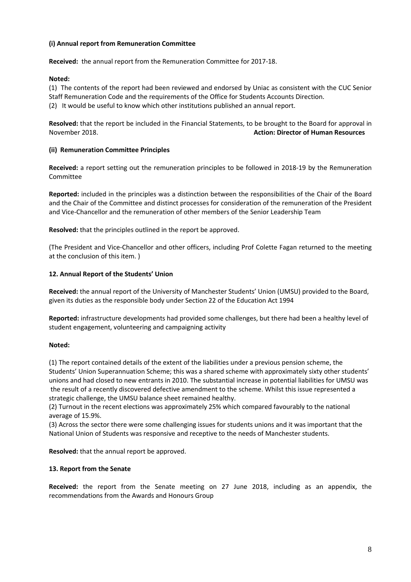# **(i) Annual report from Remuneration Committee**

**Received:** the annual report from the Remuneration Committee for 2017-18.

## **Noted:**

(1) The contents of the report had been reviewed and endorsed by Uniac as consistent with the CUC Senior Staff Remuneration Code and the requirements of the Office for Students Accounts Direction. (2) It would be useful to know which other institutions published an annual report.

**Resolved:** that the report be included in the Financial Statements, to be brought to the Board for approval in November 2018. **Action: Director of Human Resources**

## **(ii) Remuneration Committee Principles**

**Received:** a report setting out the remuneration principles to be followed in 2018-19 by the Remuneration Committee

**Reported:** included in the principles was a distinction between the responsibilities of the Chair of the Board and the Chair of the Committee and distinct processes for consideration of the remuneration of the President and Vice-Chancellor and the remuneration of other members of the Senior Leadership Team

**Resolved:** that the principles outlined in the report be approved.

(The President and Vice-Chancellor and other officers, including Prof Colette Fagan returned to the meeting at the conclusion of this item. )

## **12. Annual Report of the Students' Union**

**Received:** the annual report of the University of Manchester Students' Union (UMSU) provided to the Board, given its duties as the responsible body under Section 22 of the Education Act 1994

**Reported:** infrastructure developments had provided some challenges, but there had been a healthy level of student engagement, volunteering and campaigning activity

# **Noted:**

(1) The report contained details of the extent of the liabilities under a previous pension scheme, the Students' Union Superannuation Scheme; this was a shared scheme with approximately sixty other students' unions and had closed to new entrants in 2010. The substantial increase in potential liabilities for UMSU was the result of a recently discovered defective amendment to the scheme. Whilst this issue represented a strategic challenge, the UMSU balance sheet remained healthy.

(2) Turnout in the recent elections was approximately 25% which compared favourably to the national average of 15.9%.

(3) Across the sector there were some challenging issues for students unions and it was important that the National Union of Students was responsive and receptive to the needs of Manchester students.

**Resolved:** that the annual report be approved.

# **13. Report from the Senate**

**Received:** the report from the Senate meeting on 27 June 2018, including as an appendix, the recommendations from the Awards and Honours Group